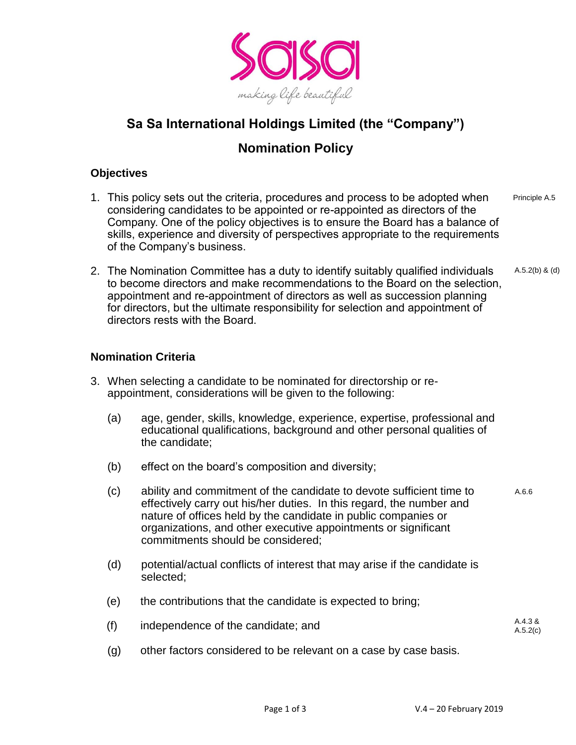

# **Sa Sa International Holdings Limited (the "Company")**

## **Nomination Policy**

## **Objectives**

- 1. This policy sets out the criteria, procedures and process to be adopted when considering candidates to be appointed or re-appointed as directors of the Company. One of the policy objectives is to ensure the Board has a balance of skills, experience and diversity of perspectives appropriate to the requirements of the Company's business. Principle A.5
- 2. The Nomination Committee has a duty to identify suitably qualified individuals to become directors and make recommendations to the Board on the selection, appointment and re-appointment of directors as well as succession planning for directors, but the ultimate responsibility for selection and appointment of directors rests with the Board. A.5.2(b) & (d)

## **Nomination Criteria**

- 3. When selecting a candidate to be nominated for directorship or reappointment, considerations will be given to the following:
	- (a) age, gender, skills, knowledge, experience, expertise, professional and educational qualifications, background and other personal qualities of the candidate;
	- (b) effect on the board's composition and diversity;
	- (c) ability and commitment of the candidate to devote sufficient time to effectively carry out his/her duties. In this regard, the number and nature of offices held by the candidate in public companies or organizations, and other executive appointments or significant commitments should be considered; A.6.6
	- (d) potential/actual conflicts of interest that may arise if the candidate is selected;
	- (e) the contributions that the candidate is expected to bring;
	- (f) independence of the candidate; and
	- (g) other factors considered to be relevant on a case by case basis.

A.4.3 & A.5.2(c)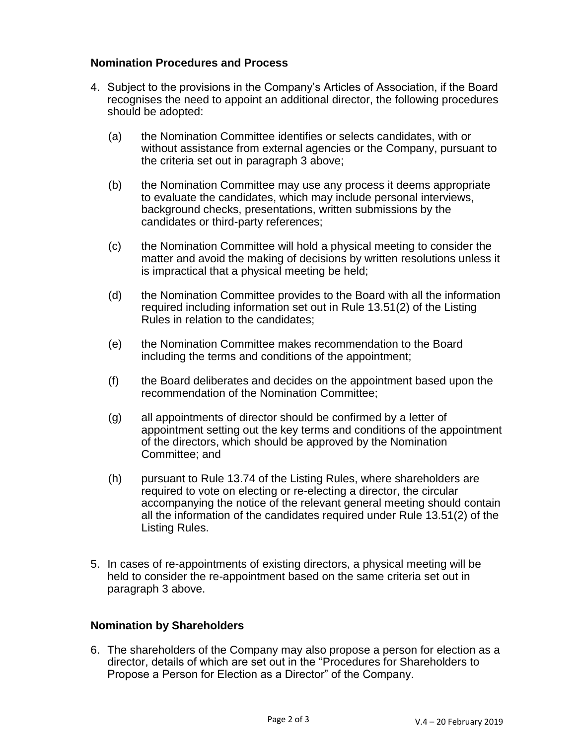#### **Nomination Procedures and Process**

- 4. Subject to the provisions in the Company's Articles of Association, if the Board recognises the need to appoint an additional director, the following procedures should be adopted:
	- (a) the Nomination Committee identifies or selects candidates, with or without assistance from external agencies or the Company, pursuant to the criteria set out in paragraph 3 above;
	- (b) the Nomination Committee may use any process it deems appropriate to evaluate the candidates, which may include personal interviews, background checks, presentations, written submissions by the candidates or third-party references;
	- (c) the Nomination Committee will hold a physical meeting to consider the matter and avoid the making of decisions by written resolutions unless it is impractical that a physical meeting be held;
	- (d) the Nomination Committee provides to the Board with all the information required including information set out in Rule 13.51(2) of the Listing Rules in relation to the candidates;
	- (e) the Nomination Committee makes recommendation to the Board including the terms and conditions of the appointment;
	- (f) the Board deliberates and decides on the appointment based upon the recommendation of the Nomination Committee;
	- (g) all appointments of director should be confirmed by a letter of appointment setting out the key terms and conditions of the appointment of the directors, which should be approved by the Nomination Committee; and
	- (h) pursuant to Rule 13.74 of the Listing Rules, where shareholders are required to vote on electing or re-electing a director, the circular accompanying the notice of the relevant general meeting should contain all the information of the candidates required under Rule 13.51(2) of the Listing Rules.
- 5. In cases of re-appointments of existing directors, a physical meeting will be held to consider the re-appointment based on the same criteria set out in paragraph 3 above.

#### **Nomination by Shareholders**

6. The shareholders of the Company may also propose a person for election as a director, details of which are set out in the "Procedures for Shareholders to Propose a Person for Election as a Director" of the Company.